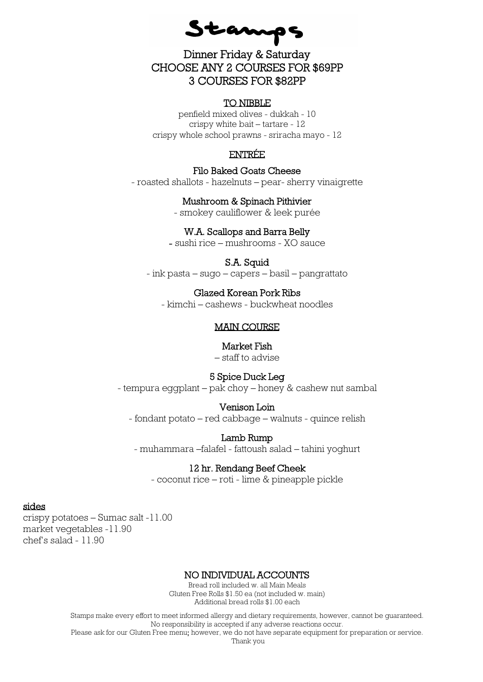Stamps

# Dinner Friday & Saturday CHOOSE ANY 2 COURSES FOR \$69PP 3 COURSES FOR \$82PP

#### TO NIBBLE

penfield mixed olives - dukkah - 10 crispy white bait – tartare - 12 crispy whole school prawns - sriracha mayo - 12

#### ENTRÉE

Filo Baked Goats Cheese - roasted shallots - hazelnuts – pear- sherry vinaigrette

Mushroom & Spinach Pithivier

- smokey cauliflower & leek purée

#### W.A. Scallops and Barra Belly

- sushi rice – mushrooms - XO sauce

#### S.A. Squid

- ink pasta – sugo – capers – basil – pangrattato

### Glazed Korean Pork Ribs

- kimchi – cashews - buckwheat noodles

#### MAIN COURSE

#### Market Fish

– staff to advise

#### 5 Spice Duck Leg

- tempura eggplant – pak choy – honey & cashew nut sambal

#### Venison Loin

- fondant potato – red cabbage – walnuts - quince relish

#### Lamb Rump

- muhammara –falafel - fattoush salad – tahini yoghurt

#### 12 hr. Rendang Beef Cheek

- coconut rice – roti - lime & pineapple pickle

#### sides

crispy potatoes – Sumac salt -11.00 market vegetables -11.90 chef's salad - 11.90

#### NO INDIVIDUAL ACCOUNTS

Bread roll included w. all Main Meals Gluten Free Rolls \$1.50 ea (not included w. main) Additional bread rolls \$1.00 each

Stamps make every effort to meet informed allergy and dietary requirements, however, cannot be guaranteed. No responsibility is accepted if any adverse reactions occur.

Please ask for our Gluten Free menu; however, we do not have separate equipment for preparation or service.

Thank you